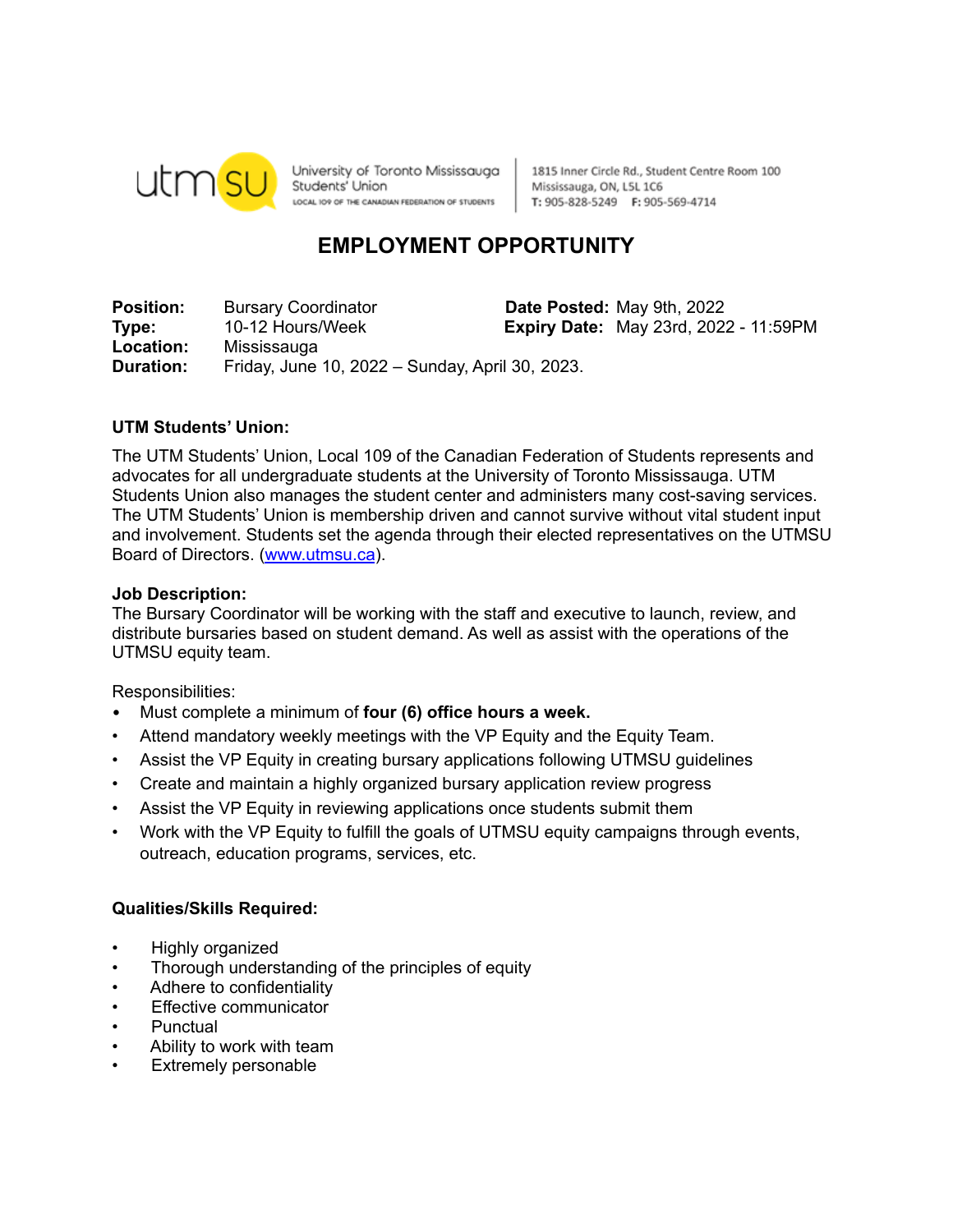

University of Toronto Mississauga Students' Union LOCAL IO9 OF THE CANADIAN FEDERATION OF STUDENTS

1815 Inner Circle Rd., Student Centre Room 100 Mississauga, ON, L5L 1C6 T: 905-828-5249 F: 905-569-4714

# **EMPLOYMENT OPPORTUNITY**

**Position:** Bursary Coordinator **Date Posted:** May 9th, 2022 **Type:** 10-12 Hours/Week **Expiry Date:** May 23rd, 2022 - 11:59PM **Location:** Mississauga **Duration:** Friday, June 10, 2022 – Sunday, April 30, 2023.

# **UTM Students' Union:**

The UTM Students' Union, Local 109 of the Canadian Federation of Students represents and advocates for all undergraduate students at the University of Toronto Mississauga. UTM Students Union also manages the student center and administers many cost-saving services. The UTM Students' Union is membership driven and cannot survive without vital student input and involvement. Students set the agenda through their elected representatives on the UTMSU Board of Directors. [\(www.utmsu.ca](http://www.utmsu.ca)).

## **Job Description:**

The Bursary Coordinator will be working with the staff and executive to launch, review, and distribute bursaries based on student demand. As well as assist with the operations of the UTMSU equity team.

Responsibilities:

- Must complete a minimum of **four (6) office hours a week.**
- Attend mandatory weekly meetings with the VP Equity and the Equity Team.
- Assist the VP Equity in creating bursary applications following UTMSU guidelines
- Create and maintain a highly organized bursary application review progress
- Assist the VP Equity in reviewing applications once students submit them
- Work with the VP Equity to fulfill the goals of UTMSU equity campaigns through events, outreach, education programs, services, etc.

## **Qualities/Skills Required:**

- Highly organized
- Thorough understanding of the principles of equity
- Adhere to confidentiality
- **Effective communicator**
- **Punctual**
- Ability to work with team
- Extremely personable